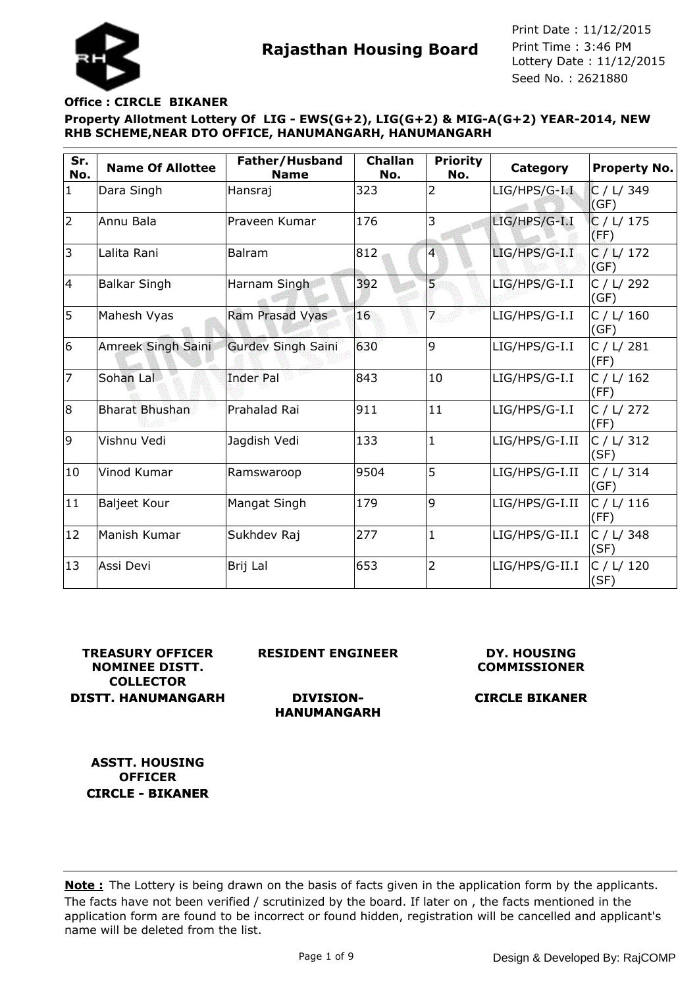## **Office : CIRCLE BIKANER**

**Property Allotment Lottery Of LIG - EWS(G+2), LIG(G+2) & MIG-A(G+2) YEAR-2014, NEW RHB SCHEME,NEAR DTO OFFICE, HANUMANGARH, HANUMANGARH**

| Sr.<br>No.     | <b>Name Of Allottee</b> | Father/Husband<br><b>Name</b> | <b>Challan</b><br>No. | <b>Priority</b><br>No.  | Category         | <b>Property No.</b> |
|----------------|-------------------------|-------------------------------|-----------------------|-------------------------|------------------|---------------------|
| $\mathbf{1}$   | Dara Singh              | Hansraj                       | 323                   | 2                       | $LIG/HPS/G-I.I.$ | C / L/ 349<br>(GF)  |
| $\overline{2}$ | Annu Bala               | Praveen Kumar                 | 176                   | 3                       | LIG/HPS/G-I.I    | C / L/ 175<br>(FF)  |
| 3              | Lalita Rani             | Balram                        | 812                   | $\overline{\mathbf{4}}$ | $LIG/HPS/G-I.I$  | C / L / 172<br>(GF) |
| 14             | <b>Balkar Singh</b>     | Harnam Singh                  | 392                   | $\overline{5}$          | LIG/HPS/G-I.I    | C / L / 292<br>(GF) |
| 5              | Mahesh Vyas             | Ram Prasad Vyas               | 16                    | 7                       | LIG/HPS/G-I.I    | C / L / 160<br>(GF) |
| 6              | Amreek Singh Saini      | <b>Gurdev Singh Saini</b>     | 630                   | 9                       | LIG/HPS/G-I.I    | C / L / 281<br>(FF) |
| 7              | Sohan Lal               | <b>Inder Pal</b>              | 843                   | 10                      | LIG/HPS/G-I.I    | C / L / 162<br>(FF) |
| 8              | <b>Bharat Bhushan</b>   | Prahalad Rai                  | 911                   | 11                      | LIG/HPS/G-I.I    | C / L / 272<br>(FF) |
| 9              | Vishnu Vedi             | Jagdish Vedi                  | 133                   | 1                       | LIG/HPS/G-I.II   | C / L/ 312<br>(SF)  |
| 10             | Vinod Kumar             | Ramswaroop                    | 9504                  | 5                       | LIG/HPS/G-I.II   | C / L / 314<br>(GF) |
| 11             | <b>Baljeet Kour</b>     | Mangat Singh                  | 179                   | 9                       | LIG/HPS/G-I.II   | C / L / 116<br>(FF) |
| 12             | Manish Kumar            | Sukhdev Raj                   | 277                   | $\mathbf{1}$            | LIG/HPS/G-II.I   | C / L/ 348<br>(SF)  |
| 13             | Assi Devi               | Brij Lal                      | 653                   | $\overline{2}$          | LIG/HPS/G-II.I   | C / L / 120<br>(SF) |

**TREASURY OFFICER NOMINEE DISTT. COLLECTOR DISTT. HANUMANGARH** **RESIDENT ENGINEER**

**DIVISION-HANUMANGARH**

#### **DY. HOUSING COMMISSIONER**

# **CIRCLE BIKANER**

**ASSTT. HOUSING OFFICER CIRCLE - BIKANER**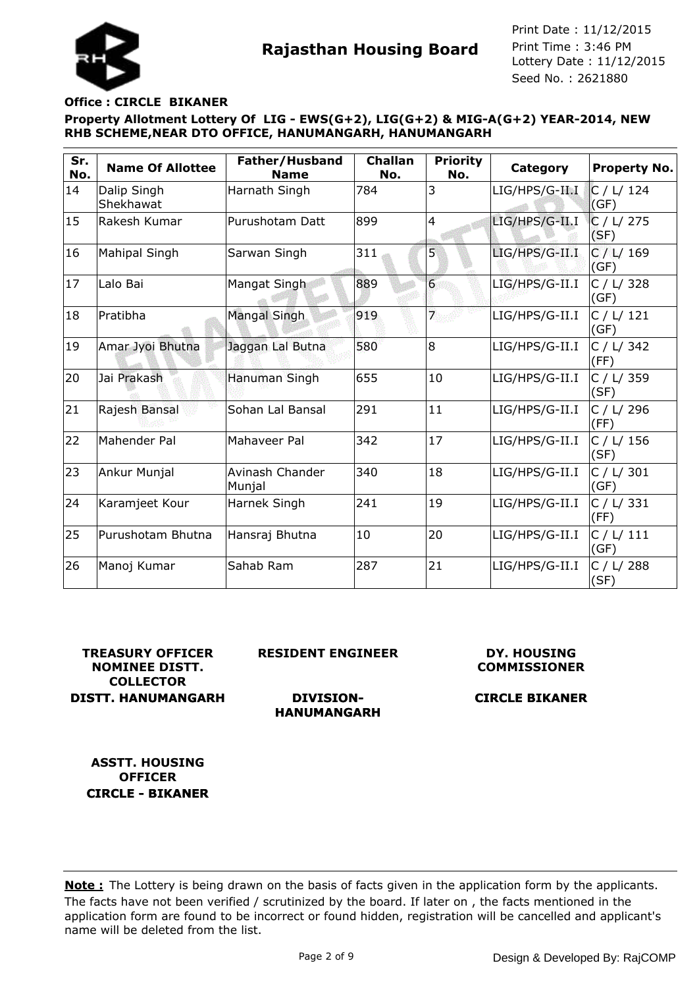#### **Office : CIRCLE BIKANER**

**Property Allotment Lottery Of LIG - EWS(G+2), LIG(G+2) & MIG-A(G+2) YEAR-2014, NEW RHB SCHEME,NEAR DTO OFFICE, HANUMANGARH, HANUMANGARH**

| Sr.<br>No. | <b>Name Of Allottee</b>  | Father/Husband<br><b>Name</b> | <b>Challan</b><br>No. | <b>Priority</b><br>No. | <b>Category</b> | <b>Property No.</b> |
|------------|--------------------------|-------------------------------|-----------------------|------------------------|-----------------|---------------------|
| 14         | Dalip Singh<br>Shekhawat | Harnath Singh                 | 784                   | 3                      | LIG/HPS/G-II.I  | C / L / 124<br>(GF) |
| 15         | Rakesh Kumar             | Purushotam Datt               | 899                   | $\overline{4}$         | LIG/HPS/G-II.I  | C / L / 275<br>(SF) |
| 16         | <b>Mahipal Singh</b>     | Sarwan Singh                  | 311                   | 5                      | LIG/HPS/G-II.I  | C / L / 169<br>(GF) |
| 17         | Lalo Bai                 | Mangat Singh                  | 889                   | 6 <sup>1</sup>         | LIG/HPS/G-II.I  | C / L/ 328<br>(GF)  |
| 18         | Pratibha                 | Mangal Singh                  | 919                   | $\overline{7}$         | LIG/HPS/G-II.I  | C / L / 121<br>(GF) |
| 19         | Amar Jyoi Bhutna         | Jaggan Lal Butna              | 580                   | 8                      | LIG/HPS/G-II.I  | C / L/ 342<br>(FF)  |
| 20         | Jai Prakash              | Hanuman Singh                 | 655                   | 10                     | LIG/HPS/G-II.I  | C / L/ 359<br>(SF)  |
| 21         | Rajesh Bansal            | Sohan Lal Bansal              | 291                   | 11                     | LIG/HPS/G-II.I  | C / L/ 296<br>(FF)  |
| 22         | Mahender Pal             | Mahaveer Pal                  | 342                   | 17                     | LIG/HPS/G-II.I  | C / L / 156<br>(SF) |
| 23         | Ankur Munjal             | Avinash Chander<br>Munjal     | 340                   | 18                     | LIG/HPS/G-II.I  | C / L/ 301<br>(GF)  |
| 24         | Karamjeet Kour           | Harnek Singh                  | 241                   | 19                     | LIG/HPS/G-II.I  | C / L/ 331<br>(FF)  |
| 25         | Purushotam Bhutna        | Hansraj Bhutna                | 10                    | 20                     | LIG/HPS/G-II.I  | C / L / 111<br>(GF) |
| 26         | Manoj Kumar              | Sahab Ram                     | 287                   | 21                     | LIG/HPS/G-II.I  | C / L/ 288<br>(SF)  |

**TREASURY OFFICER NOMINEE DISTT. COLLECTOR DISTT. HANUMANGARH** **RESIDENT ENGINEER**

**DIVISION-**

#### **DY. HOUSING COMMISSIONER**

# **CIRCLE BIKANER**

**HANUMANGARH**

**ASSTT. HOUSING OFFICER CIRCLE - BIKANER**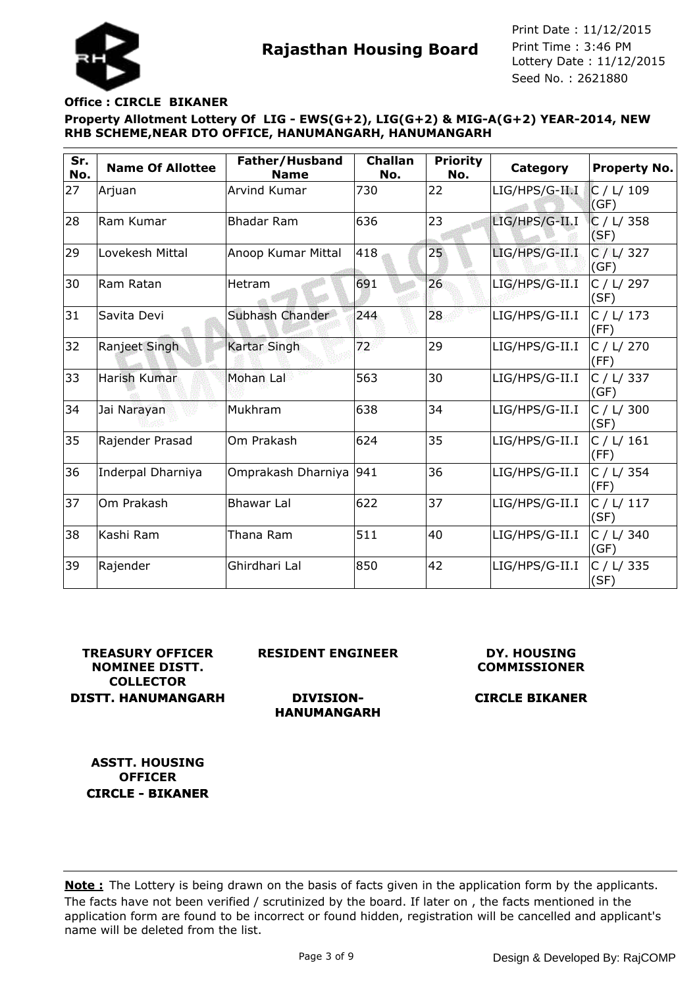#### **Office : CIRCLE BIKANER**

**Property Allotment Lottery Of LIG - EWS(G+2), LIG(G+2) & MIG-A(G+2) YEAR-2014, NEW RHB SCHEME,NEAR DTO OFFICE, HANUMANGARH, HANUMANGARH**

| Sr.<br>No. | <b>Name Of Allottee</b> | Father/Husband<br><b>Name</b> | <b>Challan</b><br>No. | <b>Priority</b><br>No. | Category       | <b>Property No.</b> |
|------------|-------------------------|-------------------------------|-----------------------|------------------------|----------------|---------------------|
| 27         | Arjuan                  | Arvind Kumar                  | 730                   | 22                     | LIG/HPS/G-II.I | C / L / 109<br>(GF) |
| 28         | Ram Kumar               | <b>Bhadar Ram</b>             | 636                   | 23                     | LIG/HPS/G-II.I | C / L/ 358<br>(SF)  |
| 29         | Lovekesh Mittal         | Anoop Kumar Mittal            | 418                   | 25 <sub>2</sub>        | LIG/HPS/G-II.I | C / L / 327<br>(GF) |
| 30         | Ram Ratan               | Hetram                        | 691                   | 26                     | LIG/HPS/G-II.I | C / L/ 297<br>(SF)  |
| 31         | Savita Devi             | Subhash Chander               | 244                   | 28                     | LIG/HPS/G-II.I | C / L/ 173<br>(FF)  |
| 32         | Ranjeet Singh           | <b>Kartar Singh</b>           | 72 <sup>2</sup>       | 29                     | LIG/HPS/G-II.I | C / L / 270<br>(FF) |
| 33         | Harish Kumar            | Mohan Lal                     | 563                   | 30                     | LIG/HPS/G-II.I | C / L/ 337<br>(GF)  |
| 34         | Jai Narayan             | Mukhram                       | 638                   | 34                     | LIG/HPS/G-II.I | C / L/ 300<br>(SF)  |
| 35         | Rajender Prasad         | Om Prakash                    | 624                   | 35                     | LIG/HPS/G-II.I | C / L / 161<br>(FF) |
| 36         | Inderpal Dharniya       | Omprakash Dharniya 941        |                       | 36                     | LIG/HPS/G-II.I | C / L/ 354<br>(FF)  |
| 37         | Om Prakash              | <b>Bhawar Lal</b>             | 622                   | 37                     | LIG/HPS/G-II.I | C / L / 117<br>(SF) |
| 38         | Kashi Ram               | Thana Ram                     | 511                   | 40                     | LIG/HPS/G-II.I | C / L / 340<br>(GF) |
| 39         | Rajender                | Ghirdhari Lal                 | 850                   | 42                     | LIG/HPS/G-II.I | C / L/ 335<br>(SF)  |

**TREASURY OFFICER NOMINEE DISTT. COLLECTOR DISTT. HANUMANGARH** **RESIDENT ENGINEER**

**DIVISION-HANUMANGARH**

### **DY. HOUSING COMMISSIONER**

# **CIRCLE BIKANER**

**ASSTT. HOUSING OFFICER CIRCLE - BIKANER**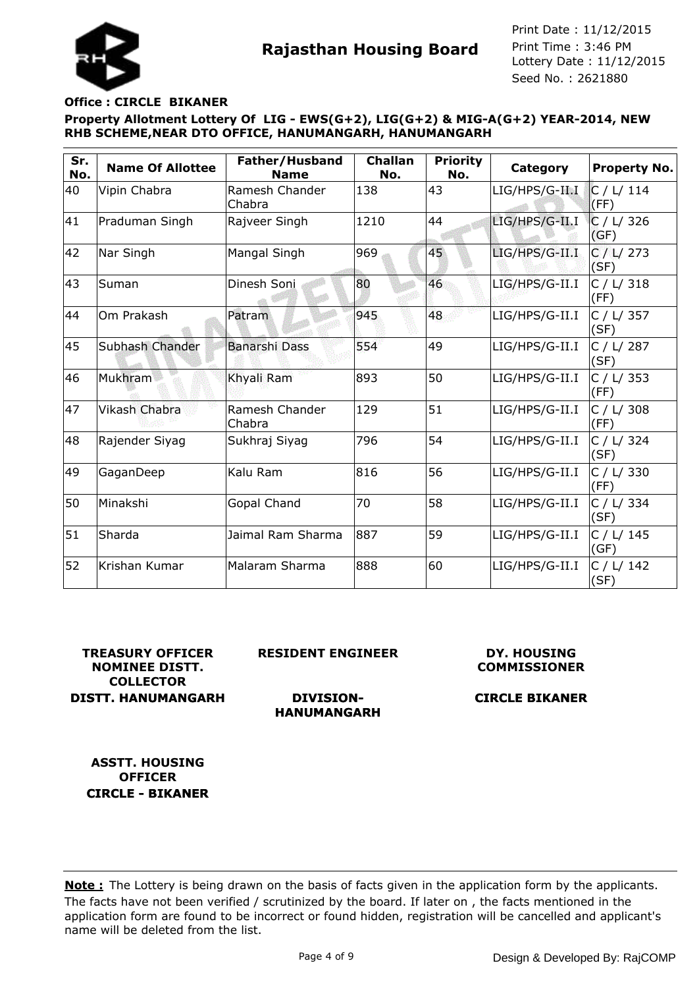### **Office : CIRCLE BIKANER**

**Property Allotment Lottery Of LIG - EWS(G+2), LIG(G+2) & MIG-A(G+2) YEAR-2014, NEW RHB SCHEME,NEAR DTO OFFICE, HANUMANGARH, HANUMANGARH**

| Sr.<br>No. | <b>Name Of Allottee</b> | Father/Husband<br><b>Name</b> | <b>Challan</b><br>No. | <b>Priority</b><br>No. | Category       | <b>Property No.</b> |
|------------|-------------------------|-------------------------------|-----------------------|------------------------|----------------|---------------------|
| 40         | Vipin Chabra            | Ramesh Chander<br>Chabra      | 138                   | 43                     | LIG/HPS/G-II.I | C / L / 114<br>(FF) |
| 41         | Praduman Singh          | Rajveer Singh                 | 1210                  | 44                     | LIG/HPS/G-II.I | C / L/ 326<br>(GF)  |
| 42         | Nar Singh               | Mangal Singh                  | 969                   | 45                     | LIG/HPS/G-II.I | C / L / 273<br>(SF) |
| 43         | Suman                   | Dinesh Soni                   | 80                    | 46                     | LIG/HPS/G-II.I | C / L/ 318<br>(FF)  |
| 44         | Om Prakash              | Patram                        | 945                   | 48                     | LIG/HPS/G-II.I | C / L/ 357<br>(SF)  |
| 45         | Subhash Chander         | <b>Banarshi Dass</b>          | 554                   | 49                     | LIG/HPS/G-II.I | C / L/ 287<br>(SF)  |
| 46         | Mukhram                 | Khyali Ram                    | 893                   | 50                     | LIG/HPS/G-II.I | C / L / 353<br>(FF) |
| 47         | <b>Vikash Chabra</b>    | Ramesh Chander<br>Chabra      | 129                   | 51                     | LIG/HPS/G-II.I | C / L/ 308<br>(FF)  |
| 48         | Rajender Siyag          | Sukhraj Siyag                 | 796                   | 54                     | LIG/HPS/G-II.I | C / L / 324<br>(SF) |
| 49         | GaganDeep               | Kalu Ram                      | 816                   | 56                     | LIG/HPS/G-II.I | C / L/ 330<br>(FF)  |
| 50         | Minakshi                | Gopal Chand                   | 70                    | 58                     | LIG/HPS/G-II.I | C / L/ 334<br>(SF)  |
| 51         | Sharda                  | Jaimal Ram Sharma             | 887                   | 59                     | LIG/HPS/G-II.I | C / L / 145<br>(GF) |
| 52         | Krishan Kumar           | Malaram Sharma                | 888                   | 60                     | LIG/HPS/G-II.I | C / L/ 142<br>(SF)  |

**TREASURY OFFICER NOMINEE DISTT. COLLECTOR DISTT. HANUMANGARH** **RESIDENT ENGINEER**

#### **DY. HOUSING COMMISSIONER**

#### **DIVISION-HANUMANGARH**

# **CIRCLE BIKANER**

**ASSTT. HOUSING OFFICER CIRCLE - BIKANER**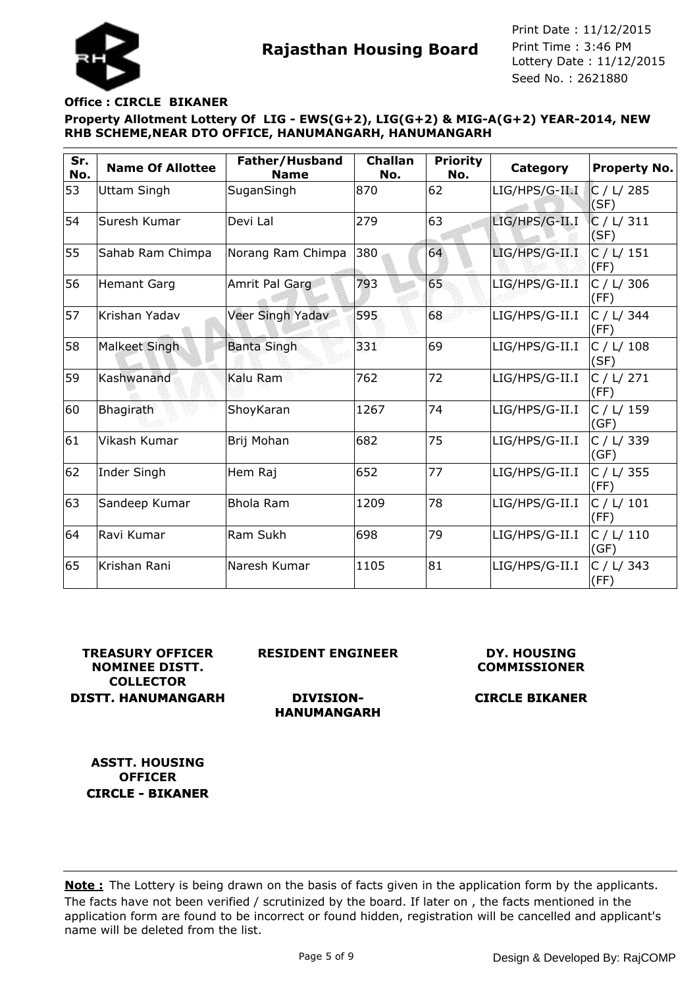



#### **Office : CIRCLE BIKANER**

**Property Allotment Lottery Of LIG - EWS(G+2), LIG(G+2) & MIG-A(G+2) YEAR-2014, NEW RHB SCHEME,NEAR DTO OFFICE, HANUMANGARH, HANUMANGARH**

| Sr.<br>No. | <b>Name Of Allottee</b> | Father/Husband<br><b>Name</b> | <b>Challan</b><br>No. | <b>Priority</b><br>No. | Category       | <b>Property No.</b> |
|------------|-------------------------|-------------------------------|-----------------------|------------------------|----------------|---------------------|
| 53         | Uttam Singh             | SuganSingh                    | 870                   | 62                     | LIG/HPS/G-II.I | C / L / 285<br>(SF) |
| 54         | Suresh Kumar            | Devi Lal                      | 279                   | 63                     | LIG/HPS/G-II.I | C / L / 311<br>(SF) |
| 55         | Sahab Ram Chimpa        | Norang Ram Chimpa             | 380                   | 64                     | LIG/HPS/G-II.I | C / L / 151<br>(FF) |
| 56         | <b>Hemant Garg</b>      | Amrit Pal Garg                | 793                   | 65                     | LIG/HPS/G-II.I | C / L/ 306<br>(FF)  |
| 57         | Krishan Yadav           | Veer Singh Yadav              | 595                   | 68                     | LIG/HPS/G-II.I | C / L/ 344<br>(FF)  |
| 58         | Malkeet Singh           | <b>Banta Singh</b>            | 331                   | 69                     | LIG/HPS/G-II.I | C / L/ 108<br>(SF)  |
| 59         | Kashwanand              | Kalu Ram                      | 762                   | 72                     | LIG/HPS/G-II.I | C / L / 271<br>(FF) |
| 60         | Bhagirath               | ShoyKaran                     | 1267                  | 74                     | LIG/HPS/G-II.I | C / L/ 159<br>(GF)  |
| 61         | Vikash Kumar            | Brij Mohan                    | 682                   | 75                     | LIG/HPS/G-II.I | C / L/ 339<br>(GF)  |
| 62         | Inder Singh             | Hem Raj                       | 652                   | 77                     | LIG/HPS/G-II.I | C / L/ 355<br>(FF)  |
| 63         | Sandeep Kumar           | <b>Bhola Ram</b>              | 1209                  | 78                     | LIG/HPS/G-II.I | C / L / 101<br>(FF) |
| 64         | Ravi Kumar              | Ram Sukh                      | 698                   | 79                     | LIG/HPS/G-II.I | C / L / 110<br>(GF) |
| 65         | Krishan Rani            | Naresh Kumar                  | 1105                  | 81                     | LIG/HPS/G-II.I | C / L/ 343<br>(FF)  |

## **TREASURY OFFICER NOMINEE DISTT. COLLECTOR DISTT. HANUMANGARH**

**RESIDENT ENGINEER**

**DIVISION-HANUMANGARH**

#### **DY. HOUSING COMMISSIONER**

# **CIRCLE BIKANER**

**ASSTT. HOUSING OFFICER CIRCLE - BIKANER**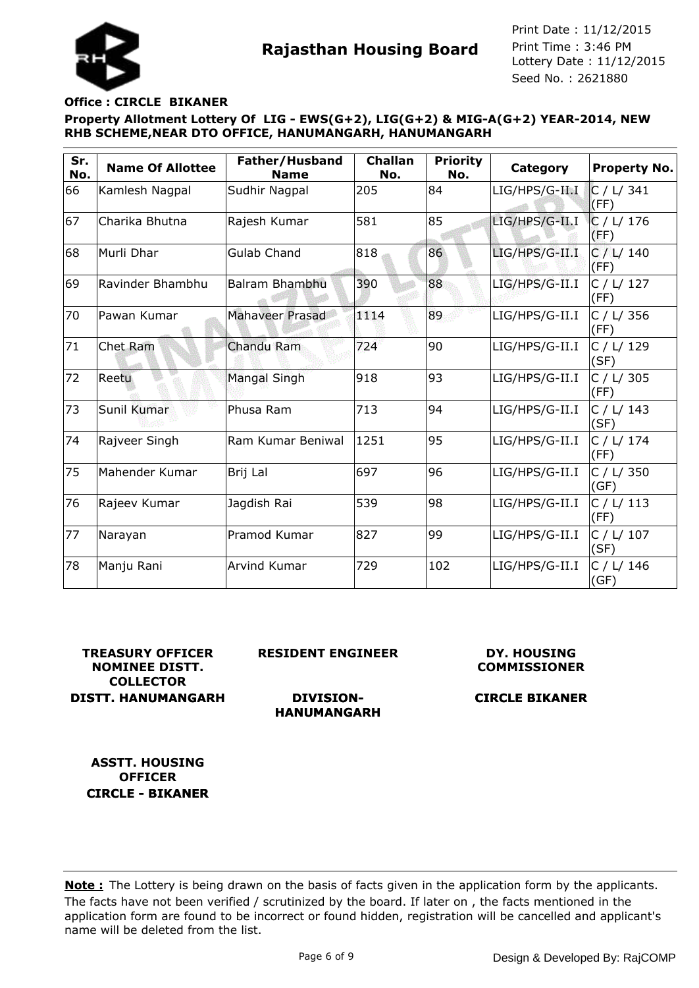#### **Office : CIRCLE BIKANER**

**Property Allotment Lottery Of LIG - EWS(G+2), LIG(G+2) & MIG-A(G+2) YEAR-2014, NEW RHB SCHEME,NEAR DTO OFFICE, HANUMANGARH, HANUMANGARH**

| Sr.<br>No. | <b>Name Of Allottee</b> | Father/Husband<br><b>Name</b> | <b>Challan</b><br>No. | <b>Priority</b><br>No. | Category       | <b>Property No.</b> |
|------------|-------------------------|-------------------------------|-----------------------|------------------------|----------------|---------------------|
| 66         | Kamlesh Nagpal          | Sudhir Nagpal                 | 205                   | 84                     | LIG/HPS/G-II.I | C / L / 341<br>(FF) |
| 67         | Charika Bhutna          | Rajesh Kumar                  | 581                   | 85                     | LIG/HPS/G-II.I | C / L / 176<br>(FF) |
| 68         | Murli Dhar              | <b>Gulab Chand</b>            | 818                   | 86                     | LIG/HPS/G-II.I | C / L / 140<br>(FF) |
| 69         | Ravinder Bhambhu        | Balram Bhambhu                | 390                   | 88                     | LIG/HPS/G-II.I | C / L / 127<br>(FF) |
| 70         | Pawan Kumar             | <b>Mahaveer Prasad</b>        | 1114                  | 89                     | LIG/HPS/G-II.I | C / L/ 356<br>(FF)  |
| 71         | <b>Chet Ram</b>         | <b>Chandu Ram</b>             | 724                   | 90                     | LIG/HPS/G-II.I | C / L / 129<br>(SF) |
| 72         | Reetu                   | <b>Mangal Singh</b>           | 918                   | 93                     | LIG/HPS/G-II.I | C / L/ 305<br>(FF)  |
| 73         | Sunil Kumar             | Phusa Ram                     | 713                   | 94                     | LIG/HPS/G-II.I | C / L / 143<br>(SF) |
| 74         | Rajveer Singh           | Ram Kumar Beniwal             | 1251                  | 95                     | LIG/HPS/G-II.I | C / L / 174<br>(FF) |
| 75         | Mahender Kumar          | Brij Lal                      | 697                   | 96                     | LIG/HPS/G-II.I | C / L/ 350<br>(GF)  |
| 76         | Rajeev Kumar            | Jagdish Rai                   | 539                   | 98                     | LIG/HPS/G-II.I | C / L / 113<br>(FF) |
| 77         | Narayan                 | Pramod Kumar                  | 827                   | 99                     | LIG/HPS/G-II.I | C / L / 107<br>(SF) |
| 78         | Manju Rani              | Arvind Kumar                  | 729                   | 102                    | LIG/HPS/G-II.I | C / L/ 146<br>(GF)  |

**TREASURY OFFICER NOMINEE DISTT. COLLECTOR DISTT. HANUMANGARH** **RESIDENT ENGINEER**

**DIVISION-HANUMANGARH**

#### **DY. HOUSING COMMISSIONER**

# **CIRCLE BIKANER**

**ASSTT. HOUSING OFFICER CIRCLE - BIKANER**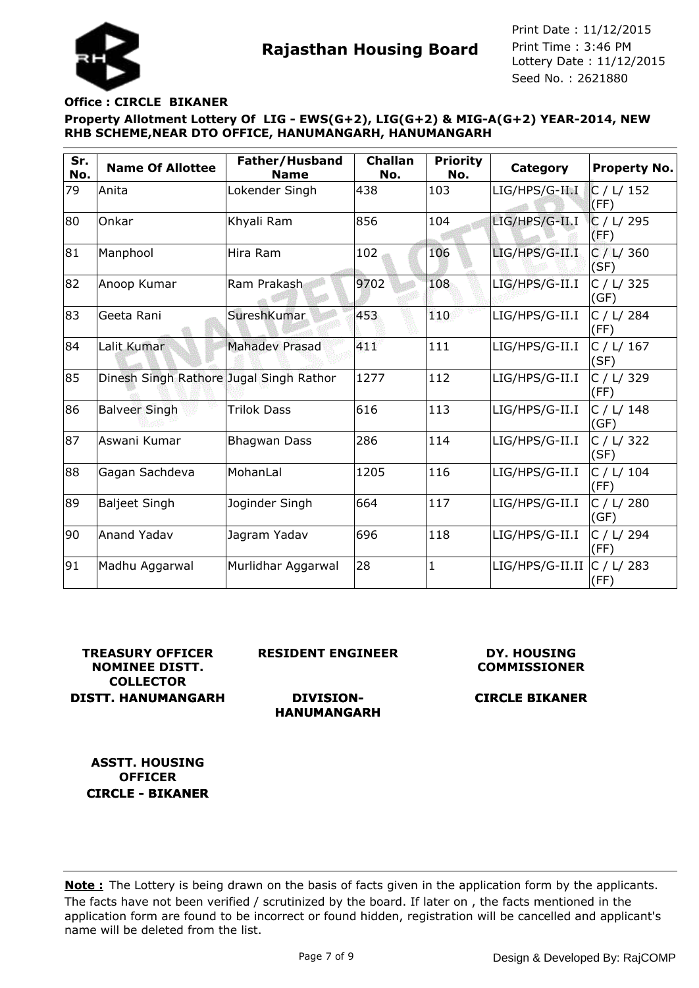### **Office : CIRCLE BIKANER**

**Property Allotment Lottery Of LIG - EWS(G+2), LIG(G+2) & MIG-A(G+2) YEAR-2014, NEW RHB SCHEME,NEAR DTO OFFICE, HANUMANGARH, HANUMANGARH**

| Sr.<br>No. | <b>Name Of Allottee</b>                 | Father/Husband<br><b>Name</b> | <b>Challan</b><br>No. | <b>Priority</b><br>No. | Category        | <b>Property No.</b> |
|------------|-----------------------------------------|-------------------------------|-----------------------|------------------------|-----------------|---------------------|
| 79         | Anita                                   | Lokender Singh                | 438                   | 103                    | LIG/HPS/G-II.I  | C / L / 152<br>(FF) |
| 80         | Onkar                                   | Khyali Ram                    | 856                   | 104                    | LIG/HPS/G-II.I  | C / L/ 295<br>(FF)  |
| 81         | Manphool                                | Hira Ram                      | 102                   | 106                    | LIG/HPS/G-II.I  | C / L / 360<br>(SF) |
| 82         | Anoop Kumar                             | Ram Prakash                   | 9702                  | 108                    | LIG/HPS/G-II.I  | C / L/ 325<br>(GF)  |
| 83         | Geeta Rani                              | SureshKumar                   | 453                   | 110                    | LIG/HPS/G-II.I  | C / L/ 284<br>(FF)  |
| 84         | Lalit Kumar                             | <b>Mahadev Prasad</b>         | 411                   | 111                    | LIG/HPS/G-II.I  | C / L/ 167<br>(SF)  |
| 85         | Dinesh Singh Rathore Jugal Singh Rathor |                               | 1277                  | 112                    | LIG/HPS/G-II.I  | C / L/ 329<br>(FF)  |
| 86         | <b>Balveer Singh</b>                    | <b>Trilok Dass</b>            | 616                   | 113                    | LIG/HPS/G-II.I  | C / L/ 148<br>(GF)  |
| 87         | Aswani Kumar                            | <b>Bhagwan Dass</b>           | 286                   | 114                    | LIG/HPS/G-II.I  | C / L/ 322<br>(SF)  |
| 88         | Gagan Sachdeva                          | MohanLal                      | 1205                  | 116                    | LIG/HPS/G-II.I  | C / L / 104<br>(FF) |
| 89         | <b>Baljeet Singh</b>                    | Joginder Singh                | 664                   | 117                    | LIG/HPS/G-II.I  | C / L / 280<br>(GF) |
| 90         | <b>Anand Yadav</b>                      | Jagram Yadav                  | 696                   | 118                    | LIG/HPS/G-II.I  | C / L / 294<br>(FF) |
| 91         | Madhu Aggarwal                          | Murlidhar Aggarwal            | 28                    | $\mathbf{1}$           | LIG/HPS/G-II.II | C / L/ 283<br>(FF)  |

## **TREASURY OFFICER NOMINEE DISTT. COLLECTOR DISTT. HANUMANGARH**

**RESIDENT ENGINEER**

**DIVISION-**

#### **DY. HOUSING COMMISSIONER**

# **CIRCLE BIKANER**

**HANUMANGARH**

**ASSTT. HOUSING OFFICER CIRCLE - BIKANER**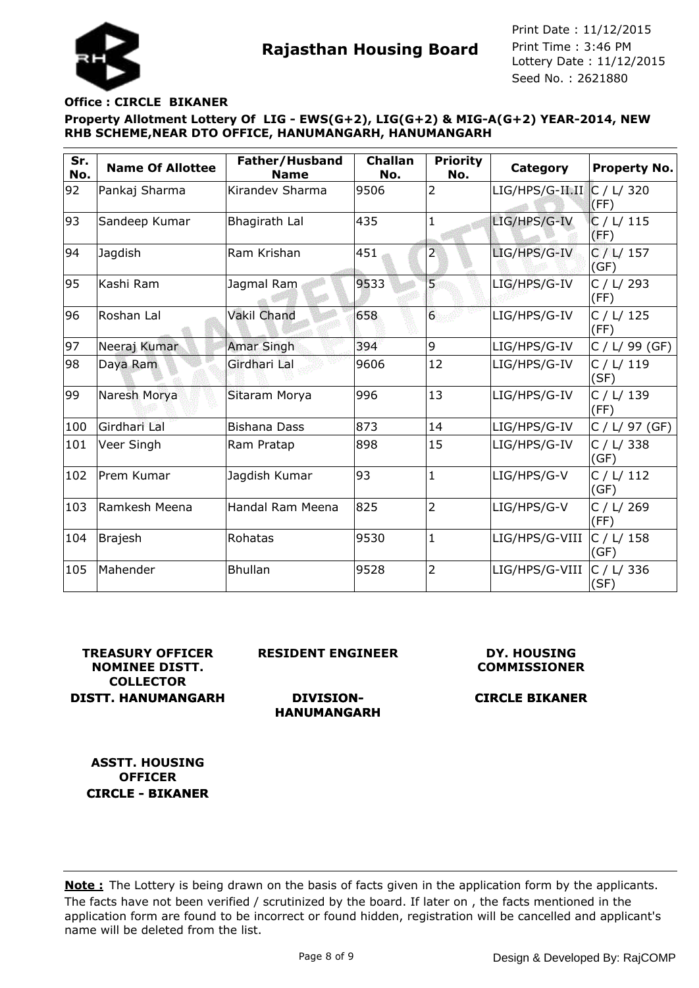

# **Office : CIRCLE BIKANER**

**Property Allotment Lottery Of LIG - EWS(G+2), LIG(G+2) & MIG-A(G+2) YEAR-2014, NEW RHB SCHEME,NEAR DTO OFFICE, HANUMANGARH, HANUMANGARH**

| Sr.<br>No. | <b>Name Of Allottee</b> | Father/Husband<br><b>Name</b> | <b>Challan</b><br>No. | <b>Priority</b><br>No. | Category        | <b>Property No.</b> |
|------------|-------------------------|-------------------------------|-----------------------|------------------------|-----------------|---------------------|
| 92         | Pankaj Sharma           | Kirandev Sharma               | 9506                  | $\overline{2}$         | LIG/HPS/G-II.II | C / L/ 320<br>(FF)  |
| 93         | Sandeep Kumar           | Bhagirath Lal                 | 435                   | 1                      | LIG/HPS/G-IV    | C / L / 115<br>(FF) |
| 94         | Jagdish                 | Ram Krishan                   | 451                   | $\overline{2}$         | LIG/HPS/G-IV    | C / L / 157<br>(GF) |
| 95         | lKashi Ram              | Jagmal Ram                    | 9533                  | 5                      | LIG/HPS/G-IV    | C / L / 293<br>(FF) |
| 96         | Roshan Lal              | <b>Vakil Chand</b>            | 658                   | 6 <sup>1</sup>         | LIG/HPS/G-IV    | C / L / 125<br>(FF) |
| 97         | Neeraj Kumar            | <b>Amar Singh</b>             | 394                   | 9                      | LIG/HPS/G-IV    | $C / L / 99$ (GF)   |
| 98         | Daya Ram                | Girdhari Lal                  | 9606                  | 12                     | LIG/HPS/G-IV    | C / L / 119<br>(SF) |
| 99         | Naresh Morya            | Sitaram Morya                 | 996                   | 13                     | LIG/HPS/G-IV    | C / L / 139<br>(FF) |
| 100        | Girdhari Lal            | <b>Bishana Dass</b>           | 873                   | 14                     | LIG/HPS/G-IV    | C / L / 97 (GF)     |
| 101        | Veer Singh              | Ram Pratap                    | 898                   | 15                     | LIG/HPS/G-IV    | C / L/ 338<br>(GF)  |
| 102        | Prem Kumar              | Jagdish Kumar                 | 93                    | $\mathbf{1}$           | LIG/HPS/G-V     | C / L / 112<br>(GF) |
| 103        | Ramkesh Meena           | Handal Ram Meena              | 825                   | $\overline{2}$         | LIG/HPS/G-V     | C / L/ 269<br>(FF)  |
| 104        | <b>Brajesh</b>          | Rohatas                       | 9530                  | $\mathbf{1}$           | LIG/HPS/G-VIII  | C / L / 158<br>(GF) |
| 105        | Mahender                | <b>Bhullan</b>                | 9528                  | $\overline{2}$         | LIG/HPS/G-VIII  | C / L/ 336<br>(SF)  |

## **TREASURY OFFICER NOMINEE DISTT. COLLECTOR DISTT. HANUMANGARH**

**RESIDENT ENGINEER**

**DIVISION-HANUMANGARH**

### **DY. HOUSING COMMISSIONER**

# **CIRCLE BIKANER**

**ASSTT. HOUSING OFFICER CIRCLE - BIKANER**